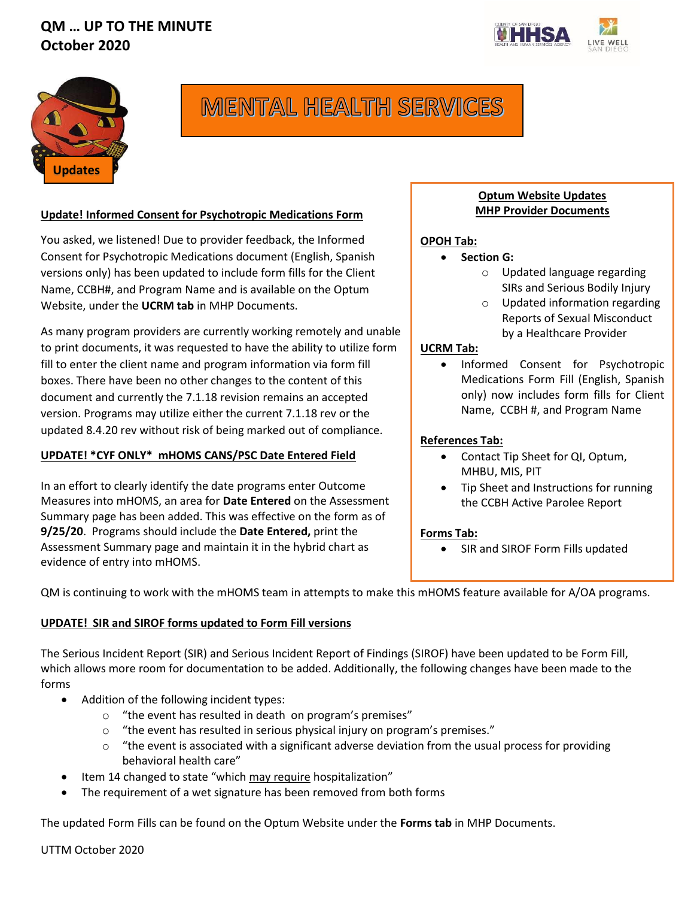



# **MENTAL HEALTH SERVICES**

#### **Update! Informed Consent for Psychotropic Medications Form**

You asked, we listened! Due to provider feedback, the Informed Consent for Psychotropic Medications document (English, Spanish versions only) has been updated to include form fills for the Client Name, CCBH#, and Program Name and is available on the Optum Website, under the **UCRM tab** in MHP Documents.

As many program providers are currently working remotely and unable to print documents, it was requested to have the ability to utilize form fill to enter the client name and program information via form fill boxes. There have been no other changes to the content of this document and currently the 7.1.18 revision remains an accepted version. Programs may utilize either the current 7.1.18 rev or the updated 8.4.20 rev without risk of being marked out of compliance.

## **UPDATE! \*CYF ONLY\* mHOMS CANS/PSC Date Entered Field**

In an effort to clearly identify the date programs enter Outcome Measures into mHOMS, an area for **Date Entered** on the Assessment Summary page has been added. This was effective on the form as of **9/25/20**. Programs should include the **Date Entered,** print the Assessment Summary page and maintain it in the hybrid chart as evidence of entry into mHOMS.

## **! Optum Website Updates MHP Provider Documents**

# **OPOH Tab:**

- **Section G:** 
	- o Updated language regarding SIRs and Serious Bodily Injury
	- o Updated information regarding Reports of Sexual Misconduct by a Healthcare Provider

## **UCRM Tab:**

• Informed Consent for Psychotropic Medications Form Fill (English, Spanish only) now includes form fills for Client Name, CCBH #, and Program Name

## **References Tab:**

- Contact Tip Sheet for QI, Optum, MHBU, MIS, PIT
- Tip Sheet and Instructions for running the CCBH Active Parolee Report

#### **Forms Tab:**

• SIR and SIROF Form Fills updated

QM is continuing to work with the mHOMS team in attempts to make this mHOMS feature available for A/OA programs.

#### **UPDATE! SIR and SIROF forms updated to Form Fill versions**

The Serious Incident Report (SIR) and Serious Incident Report of Findings (SIROF) have been updated to be Form Fill, which allows more room for documentation to be added. Additionally, the following changes have been made to the forms

- Addition of the following incident types:
	- o "the event has resulted in death on program's premises"
	- o "the event has resulted in serious physical injury on program's premises."
	- $\circ$  "the event is associated with a significant adverse deviation from the usual process for providing behavioral health care"
- Item 14 changed to state "which may require hospitalization"
- The requirement of a wet signature has been removed from both forms

The updated Form Fills can be found on the Optum Website under the **Forms tab** in MHP Documents.

UTTM October 2020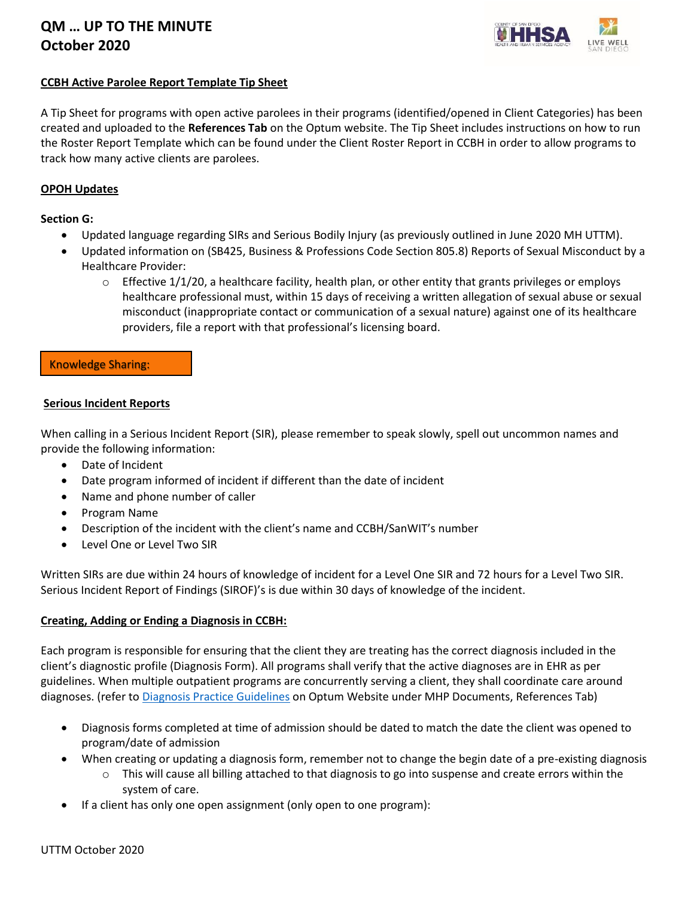

## **CCBH Active Parolee Report Template Tip Sheet**

A Tip Sheet for programs with open active parolees in their programs (identified/opened in Client Categories) has been created and uploaded to the **References Tab** on the Optum website. The Tip Sheet includes instructions on how to run the Roster Report Template which can be found under the Client Roster Report in CCBH in order to allow programs to track how many active clients are parolees.

#### **OPOH Updates**

#### **Section G:**

- Updated language regarding SIRs and Serious Bodily Injury (as previously outlined in June 2020 MH UTTM).
- Updated information on (SB425, Business & Professions Code Section 805.8) Reports of Sexual Misconduct by a Healthcare Provider:
	- $\circ$  Effective 1/1/20, a healthcare facility, health plan, or other entity that grants privileges or employs healthcare professional must, within 15 days of receiving a written allegation of sexual abuse or sexual misconduct (inappropriate contact or communication of a sexual nature) against one of its healthcare providers, file a report with that professional's licensing board.

#### Knowledge Sharing:

#### **Serious Incident Reports**

When calling in a Serious Incident Report (SIR), please remember to speak slowly, spell out uncommon names and provide the following information:

- Date of Incident
- Date program informed of incident if different than the date of incident
- Name and phone number of caller
- Program Name
- Description of the incident with the client's name and CCBH/SanWIT's number
- Level One or Level Two SIR

Written SIRs are due within 24 hours of knowledge of incident for a Level One SIR and 72 hours for a Level Two SIR. Serious Incident Report of Findings (SIROF)'s is due within 30 days of knowledge of the incident.

#### **Creating, Adding or Ending a Diagnosis in CCBH:**

Each program is responsible for ensuring that the client they are treating has the correct diagnosis included in the client's diagnostic profile (Diagnosis Form). All programs shall verify that the active diagnoses are in EHR as per guidelines. When multiple outpatient programs are concurrently serving a client, they shall coordinate care around diagnoses. (refer t[o Diagnosis Practice Guidelines](https://www.optumsandiego.com/content/dam/san-diego/documents/organizationalproviders/references/Diagnosis_Practice_Guidelines_Rv_03_01_16.pdf) on Optum Website under MHP Documents, References Tab)

- Diagnosis forms completed at time of admission should be dated to match the date the client was opened to program/date of admission
- When creating or updating a diagnosis form, remember not to change the begin date of a pre-existing diagnosis
	- $\circ$  This will cause all billing attached to that diagnosis to go into suspense and create errors within the system of care.
- If a client has only one open assignment (only open to one program):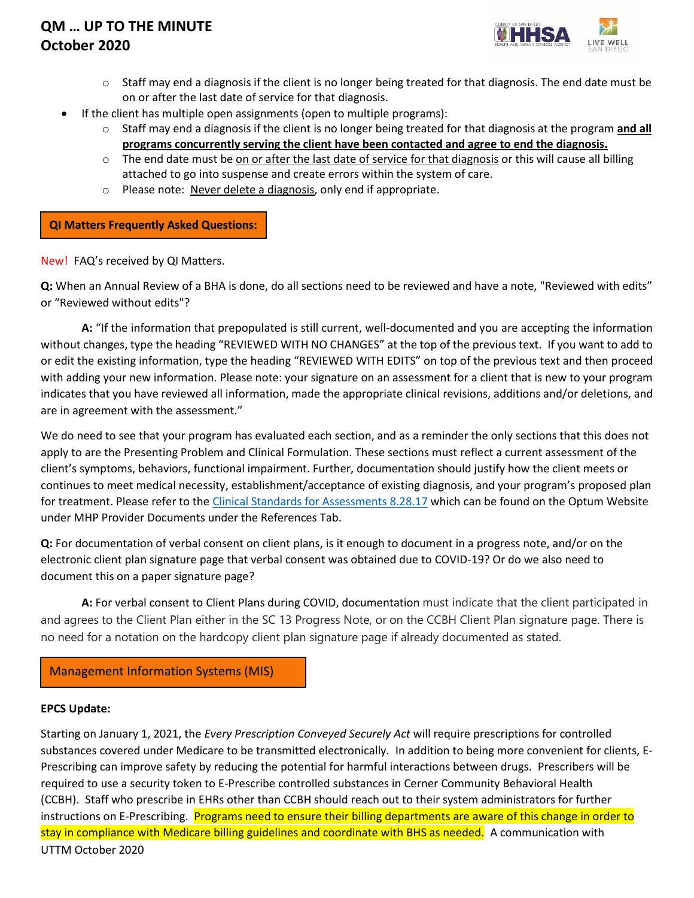

- $\circ$  Staff may end a diagnosis if the client is no longer being treated for that diagnosis. The end date must be on or after the last date of service for that diagnosis.
- If the client has multiple open assignments (open to multiple programs):
	- o Staff may end a diagnosis if the client is no longer being treated for that diagnosis at the program **and all programs concurrently serving the client have been contacted and agree to end the diagnosis.**
	- $\circ$  The end date must be on or after the last date of service for that diagnosis or this will cause all billing attached to go into suspense and create errors within the system of care.
	- o Please note: Never delete a diagnosis, only end if appropriate.

**QI Matters Frequently Asked Questions:** 

New! FAQ's received by QI Matters.

**Q:** When an Annual Review of a BHA is done, do all sections need to be reviewed and have a note, "Reviewed with edits" or "Reviewed without edits"?

**A:** "If the information that prepopulated is still current, well-documented and you are accepting the information without changes, type the heading "REVIEWED WITH NO CHANGES" at the top of the previous text. If you want to add to or edit the existing information, type the heading "REVIEWED WITH EDITS" on top of the previous text and then proceed with adding your new information. Please note: your signature on an assessment for a client that is new to your program indicates that you have reviewed all information, made the appropriate clinical revisions, additions and/or deletions, and are in agreement with the assessment."

We do need to see that your program has evaluated each section, and as a reminder the only sections that this does not apply to are the Presenting Problem and Clinical Formulation. These sections must reflect a current assessment of the client's symptoms, behaviors, functional impairment. Further, documentation should justify how the client meets or continues to meet medical necessity, establishment/acceptance of existing diagnosis, and your program's proposed plan for treatment. Please refer to the [Clinical Standards for Assessments 8.28.17](https://www.optumsandiego.com/content/dam/san-diego/documents/organizationalproviders/references/Clinical_Standards_for_Assessments_8-28-17_FINAL.docx) which can be found on the Optum Website under MHP Provider Documents under the References Tab.

**Q:** For documentation of verbal consent on client plans, is it enough to document in a progress note, and/or on the electronic client plan signature page that verbal consent was obtained due to COVID-19? Or do we also need to document this on a paper signature page?

**A:** For verbal consent to Client Plans during COVID, documentation must indicate that the client participated in and agrees to the Client Plan either in the SC 13 Progress Note, or on the CCBH Client Plan signature page. There is no need for a notation on the hardcopy client plan signature page if already documented as stated.

Management Information Systems (MIS)

#### **EPCS Update:**

UTTM October 2020 Starting on January 1, 2021, the *Every Prescription Conveyed Securely Act* will require prescriptions for controlled substances covered under Medicare to be transmitted electronically. In addition to being more convenient for clients, E-Prescribing can improve safety by reducing the potential for harmful interactions between drugs. Prescribers will be required to use a security token to E-Prescribe controlled substances in Cerner Community Behavioral Health (CCBH). Staff who prescribe in EHRs other than CCBH should reach out to their system administrators for further instructions on E-Prescribing. Programs need to ensure their billing departments are aware of this change in order to stay in compliance with Medicare billing guidelines and coordinate with BHS as needed. A communication with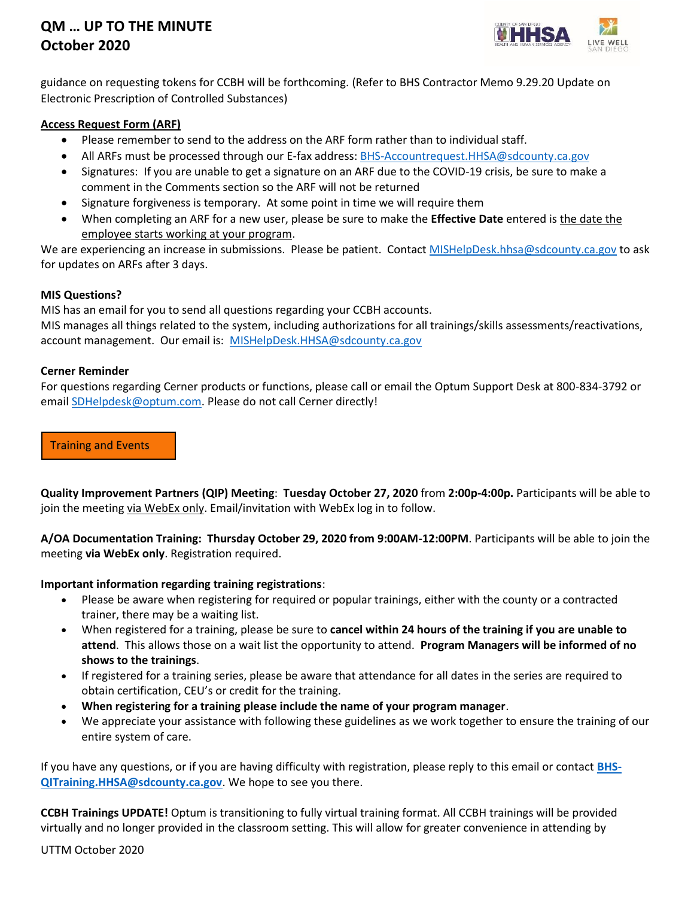

guidance on requesting tokens for CCBH will be forthcoming. (Refer to BHS Contractor Memo 9.29.20 Update on Electronic Prescription of Controlled Substances)

## **Access Request Form (ARF)**

- Please remember to send to the address on the ARF form rather than to individual staff.
- All ARFs must be processed through our E-fax address: [BHS-Accountrequest.HHSA@sdcounty.ca.gov](mailto:BHS-Accountrequest.HHSA@sdcounty.ca.gov)
- Signatures: If you are unable to get a signature on an ARF due to the COVID-19 crisis, be sure to make a comment in the Comments section so the ARF will not be returned
- Signature forgiveness is temporary. At some point in time we will require them
- When completing an ARF for a new user, please be sure to make the **Effective Date** entered is the date the employee starts working at your program.

We are experiencing an increase in submissions. Please be patient. Contac[t MISHelpDesk.hhsa@sdcounty.ca.gov](mailto:MISHelpDesk.hhsa@sdcounty.ca.gov) to ask for updates on ARFs after 3 days.

#### **MIS Questions?**

MIS has an email for you to send all questions regarding your CCBH accounts.

MIS manages all things related to the system, including authorizations for all trainings/skills assessments/reactivations, account management. Our email is: [MISHelpDesk.HHSA@sdcounty.ca.gov](mailto:MISHelpDesk.HHSA@sdcounty.ca.gov)

#### **Cerner Reminder**

For questions regarding Cerner products or functions, please call or email the Optum Support Desk at 800-834-3792 or email [SDHelpdesk@optum.com.](mailto:SDHelpdesk@optum.com) Please do not call Cerner directly!

Training and Events

**Quality Improvement Partners (QIP) Meeting**: **Tuesday October 27, 2020** from **2:00p-4:00p.** Participants will be able to join the meeting via WebEx only. Email/invitation with WebEx log in to follow.

**A/OA Documentation Training: Thursday October 29, 2020 from 9:00AM-12:00PM**. Participants will be able to join the meeting **via WebEx only**. Registration required.

#### **Important information regarding training registrations**:

- Please be aware when registering for required or popular trainings, either with the county or a contracted trainer, there may be a waiting list.
- When registered for a training, please be sure to **cancel within 24 hours of the training if you are unable to attend**. This allows those on a wait list the opportunity to attend. **Program Managers will be informed of no shows to the trainings**.
- If registered for a training series, please be aware that attendance for all dates in the series are required to obtain certification, CEU's or credit for the training.
- **When registering for a training please include the name of your program manager**.
- We appreciate your assistance with following these guidelines as we work together to ensure the training of our entire system of care.

If you have any questions, or if you are having difficulty with registration, please reply to this email or contact **[BHS-](mailto:BHS-QITraining.HHSA@sdcounty.ca.gov)[QITraining.HHSA@sdcounty.ca.gov](mailto:BHS-QITraining.HHSA@sdcounty.ca.gov)**. We hope to see you there.

**CCBH Trainings UPDATE!** Optum is transitioning to fully virtual training format. All CCBH trainings will be provided virtually and no longer provided in the classroom setting. This will allow for greater convenience in attending by

UTTM October 2020